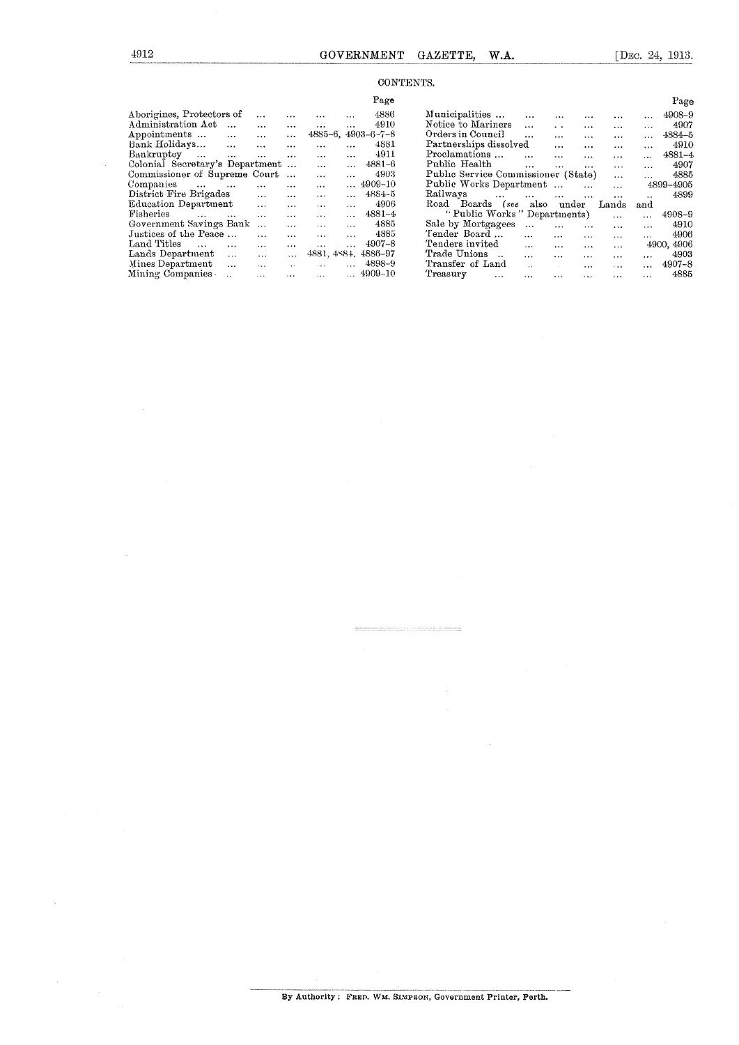## CONTENTS.

|                                          |           |           |              |           | Page               |                                                                                       | Page       |
|------------------------------------------|-----------|-----------|--------------|-----------|--------------------|---------------------------------------------------------------------------------------|------------|
| Aborigines, Protectors of                | $\cdots$  | $\cdots$  | $\cdots$     | $\cdots$  | 4886               | Municipalities<br>$\cdots$<br>$\cdots$<br>$\cdots$                                    | 4908-9     |
| Administration Act<br>$\cdots$           | $\cdots$  | $\ddotsc$ | $\cdots$     | $\cdots$  | 4910               | Notice to Mariners<br>$\cdot$ $\cdot$<br>$\cdots$<br>$\cdots$<br>$\cdots$<br>$\cdots$ | 4907       |
| Appointments<br>$\cdots$                 | $\ddotsc$ | $\cdots$  | $4885 - 6$ , |           | $4903 - 6 - 7 - 8$ | Orders in Council<br>$\cdots$<br>$\cdots$<br>$\cdots$<br>$\cdots$                     | $4884 - 5$ |
| Bank Holidays<br>$\cdots$                | $\cdots$  | $\ddotsc$ | $\cdots$     |           | 4881               | Partnerships dissolved<br>$\cdots$<br>$\cdots$<br>$\cdots$<br>$\cdots$                | 4910       |
| Bankruptcy<br>$\sim$ $\sim$<br>$\cdots$  | $\ddotsc$ | $\cdots$  | $\cdots$     | $\cdots$  | 4911               | Proclamations<br>$\cdots$<br><br>$\cdots$<br>$\cdots$                                 | $4881 - 4$ |
| Colonial Secretary's Department          |           |           | $\cdots$     |           | $4881 - 6$         | Public Health<br>$\cdots$<br>$\sim$ $\sim$<br>$\cdots$<br>$\cdots$<br>$\cdots$        | 4907       |
| Commissioner of Supreme Court            |           |           | $\cdots$     |           | 4903               | Public Service Commissioner (State)<br>$\cdots$                                       | 4885       |
| Companies<br>$\cdots$<br>$\cdots$        | $\cdots$  | $\cdots$  | $\cdots$     |           | 4909-10            | Public Works Department<br>$\cdots$<br>$\ddotsc$                                      | 4899-4905  |
| District Fire Brigades                   | $\cdots$  | $\cdots$  |              | $\ddotsc$ | 4884-5             | Railways<br>$\cdots$<br>$\cdots$<br>$\cdots$<br>$\cdots$<br>$\cdots$<br>$\cdot$       | 4899       |
| Education Department                     | $\cdots$  | $\cdots$  | $\cdots$     | $\cdots$  | 4906               | also<br>Road Boards<br>under<br>(see<br>Lands<br>and                                  |            |
| Fisheries<br>$\cdots$<br>$\cdots$        | $\cdots$  | $\cdots$  | $\cdots$     | $\cdots$  | $4881 - 4$         | "Public Works" Departments)<br>$\cdots$<br>.                                          | 4908-9     |
| Government Savings Bank                  | $\cdots$  | $\cdots$  | $\cdots$     | $\cdots$  | 4885               | Sale by Mortgagees<br>$\cdots$<br>$\cdots$<br>$\cdots$<br>$\cdots$<br>                | 4910       |
| Justices of the Peace                    | $\cdots$  | $\cdots$  | $\cdots$     | $\ddotsc$ | 4885               | Tender Board<br>$\cdots$<br>$\cdots$<br>$\cdots$<br>$\mathbf{r}$<br>$\cdots$          | 4906       |
| Land Titles<br>$\cdots$<br>$\cdots$      | $\cdots$  | $\cdots$  | $\cdots$     | $\cdots$  | $4907 - 8$         | Tenders invited<br>$\cdots$<br>$\cdots$<br>$\cdots$<br>$\cdots$                       | 4900, 4906 |
| Lands Department<br>$\cdots$             | $\cdots$  | $\cdots$  | 4881, 4884,  |           | 4886-97            | Trade Unions<br>$\cdots$<br>$\cdots$<br>$\cdots$<br>$\cdots$<br>$\cdots$              | 4903       |
| Mines Department<br>$\ddotsc$            | $\cdots$  | $\ddotsc$ | $\cdots$     |           | 4898-9             | Transfer of Land<br>$\mathbf{A}$<br>$\cdots$<br>$\cdots$<br>$\cdots$                  | $4907 - 8$ |
| Mining Companies<br>$\ddot{\phantom{a}}$ | $\cdots$  | $\cdots$  | $\cdots$     |           | $\dots$ 4909-10    | Treasury<br>$\cdots$<br>$\cdots$<br>$\cdots$<br>$\cdots$<br>$\cdots$<br>$\cdots$      | 4885       |